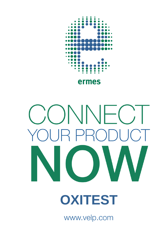

# ONNFC  $\mathsf{P}$ l **OXITEST**

www.velp.com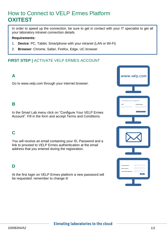### How to Connect to VELP Ermes Platform **OXITEST**

In order to speed up the connection, be sure to get in contact with your IT specialist to get all your laboratory intranet connection details.

#### **Requirements:**

- 1. **Device**: PC, Tablet, Smartphone with your intranet (LAN or Wi-Fi)
- 2. **Browser**: Chrome, Safari, Firefox, Edge, UC browser

#### **FIRST STEP |** ACTIVATE VELP ERMES ACCOUNT

#### **A**

Go to www.velp.com through your internet browser.

#### **B**

In the Smart Lab menu click on "Configure Your VELP Ermes Account". Fill in the form and accept Terms and Conditions.

#### **C**

You will receive an email containing your ID, Password and a link to proceed to VELP Ermes authentication at the email address that you entered during the registration.

#### **D**

At the first login on VELP Ermes platform a new password will be requested: remember to change it!



#### **Elevating laboratories to the cloud**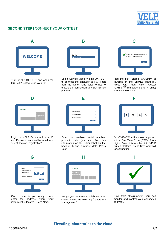

#### **SECOND STEP |** CONNECT YOUR OXITEST



Turn on the OXITEST and open the OXISoft™ software on your PC



Select Service Menu → Find OXITEST to connect the analyzer to PC. Then from the same menu select ermes to enable the connection to VELP Ermes platform.



Flag the box "Enable OXISoft™ to transmit on the ERMES platform". Press OK. Flag which Oxitest  $(OXISoft<sup>TM</sup>$  manages up to 4 units) you want to enable.



Login on VELP Ermes with your ID and Password received by email, and select "Device Registration".



Enter the analyzer serial number, product code (you can find this information on the silver label on the back of it) and purchase date. Press Next.



Give a name to your analyzer and enter the address where your instrument is located. Press Next.



Assign your analyzer to a laboratory or create a new one selecting "Laboratory Management".



On OXISoft™ will appear a pop-up with a One Time Code (OTC) of four digits. Enter this number into VELP Ermes platform, Press Next and wait for connection.



Now from "Instruments" you can monitor and control your connected analyzer.

#### **Elevating laboratories to the cloud**